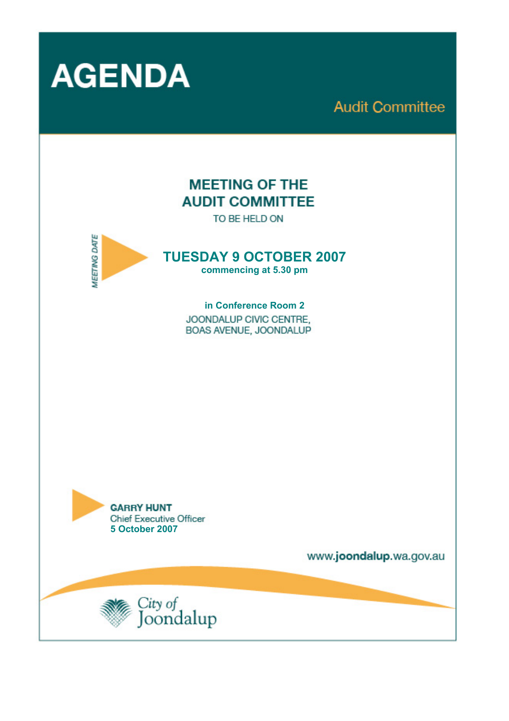

**Audit Committee** 

# **MEETING OF THE AUDIT COMMITTEE**

TO BE HELD ON



**TUESDAY 9 OCTOBER 2007** 

**commencing at 5.30 pm** 

**in Conference Room 2**  JOONDALUP CIVIC CENTRE. BOAS AVENUE, JOONDALUP



www.joondalup.wa.gov.au

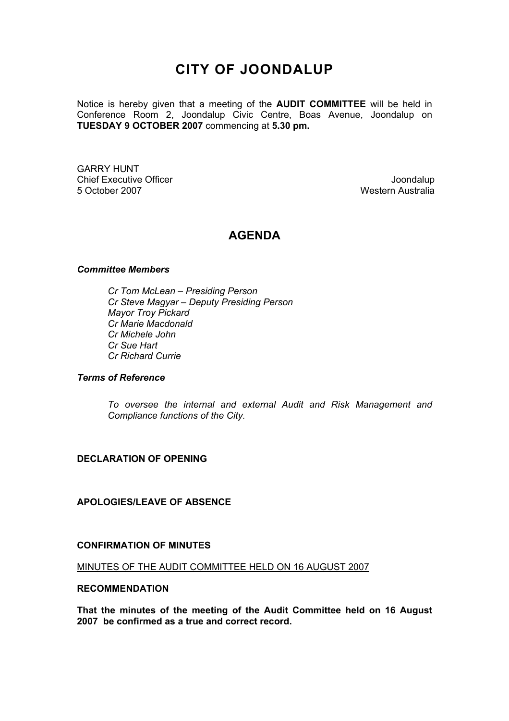# **CITY OF JOONDALUP**

Notice is hereby given that a meeting of the **AUDIT COMMITTEE** will be held in Conference Room 2, Joondalup Civic Centre, Boas Avenue, Joondalup on **TUESDAY 9 OCTOBER 2007** commencing at **5.30 pm.** 

GARRY HUNT Chief Executive Officer **Joondalup** 5 October 2007 Western Australia

## **AGENDA**

#### *Committee Members*

 *Cr Tom McLean – Presiding Person Cr Steve Magyar – Deputy Presiding Person Mayor Troy Pickard Cr Marie Macdonald Cr Michele John Cr Sue Hart Cr Richard Currie* 

#### *Terms of Reference*

*To oversee the internal and external Audit and Risk Management and Compliance functions of the City.* 

#### **DECLARATION OF OPENING**

#### **APOLOGIES/LEAVE OF ABSENCE**

#### **CONFIRMATION OF MINUTES**

MINUTES OF THE AUDIT COMMITTEE HELD ON 16 AUGUST 2007

#### **RECOMMENDATION**

**That the minutes of the meeting of the Audit Committee held on 16 August 2007 be confirmed as a true and correct record.**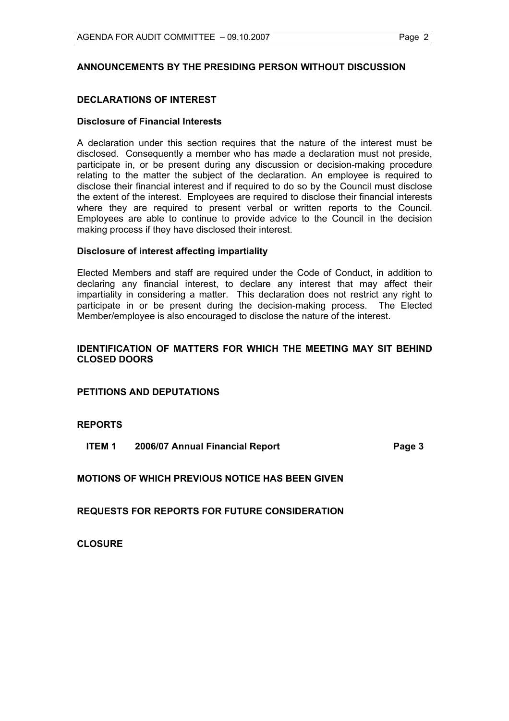#### **ANNOUNCEMENTS BY THE PRESIDING PERSON WITHOUT DISCUSSION**

#### **DECLARATIONS OF INTEREST**

#### **Disclosure of Financial Interests**

A declaration under this section requires that the nature of the interest must be disclosed. Consequently a member who has made a declaration must not preside, participate in, or be present during any discussion or decision-making procedure relating to the matter the subject of the declaration. An employee is required to disclose their financial interest and if required to do so by the Council must disclose the extent of the interest. Employees are required to disclose their financial interests where they are required to present verbal or written reports to the Council. Employees are able to continue to provide advice to the Council in the decision making process if they have disclosed their interest.

#### **Disclosure of interest affecting impartiality**

Elected Members and staff are required under the Code of Conduct, in addition to declaring any financial interest, to declare any interest that may affect their impartiality in considering a matter. This declaration does not restrict any right to participate in or be present during the decision-making process. The Elected Member/employee is also encouraged to disclose the nature of the interest.

#### **IDENTIFICATION OF MATTERS FOR WHICH THE MEETING MAY SIT BEHIND CLOSED DOORS**

**PETITIONS AND DEPUTATIONS** 

#### **REPORTS**

**ITEM 1 2006/07 Annual Financial Report Page 3** 

#### **MOTIONS OF WHICH PREVIOUS NOTICE HAS BEEN GIVEN**

**REQUESTS FOR REPORTS FOR FUTURE CONSIDERATION** 

**CLOSURE**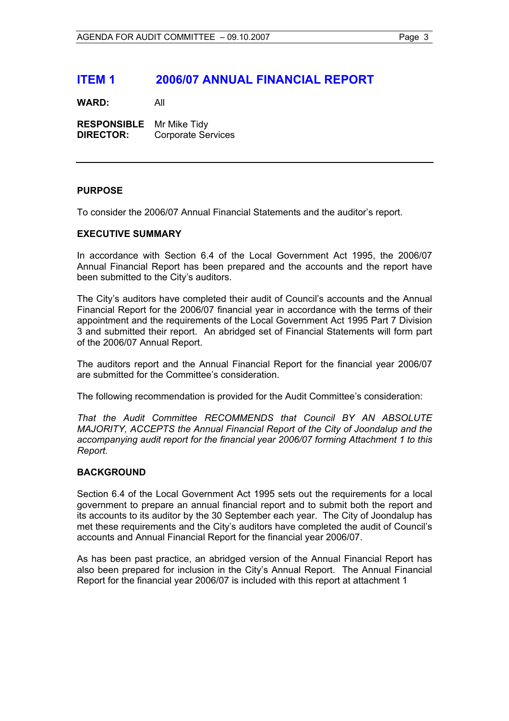## **ITEM 1 2006/07 ANNUAL FINANCIAL REPORT**

**WARD:** All

**RESPONSIBLE** Mr Mike Tidy **DIRECTOR:** Corporate Services

#### **PURPOSE**

To consider the 2006/07 Annual Financial Statements and the auditor's report.

#### **EXECUTIVE SUMMARY**

In accordance with Section 6.4 of the Local Government Act 1995, the 2006/07 Annual Financial Report has been prepared and the accounts and the report have been submitted to the City's auditors.

The City's auditors have completed their audit of Council's accounts and the Annual Financial Report for the 2006/07 financial year in accordance with the terms of their appointment and the requirements of the Local Government Act 1995 Part 7 Division 3 and submitted their report. An abridged set of Financial Statements will form part of the 2006/07 Annual Report.

The auditors report and the Annual Financial Report for the financial year 2006/07 are submitted for the Committee's consideration.

The following recommendation is provided for the Audit Committee's consideration:

*That the Audit Committee RECOMMENDS that Council BY AN ABSOLUTE MAJORITY, ACCEPTS the Annual Financial Report of the City of Joondalup and the accompanying audit report for the financial year 2006/07 forming Attachment 1 to this Report.* 

#### **BACKGROUND**

Section 6.4 of the Local Government Act 1995 sets out the requirements for a local government to prepare an annual financial report and to submit both the report and its accounts to its auditor by the 30 September each year. The City of Joondalup has met these requirements and the City's auditors have completed the audit of Council's accounts and Annual Financial Report for the financial year 2006/07.

As has been past practice, an abridged version of the Annual Financial Report has also been prepared for inclusion in the City's Annual Report. The Annual Financial Report for the financial year 2006/07 is included with this report at attachment 1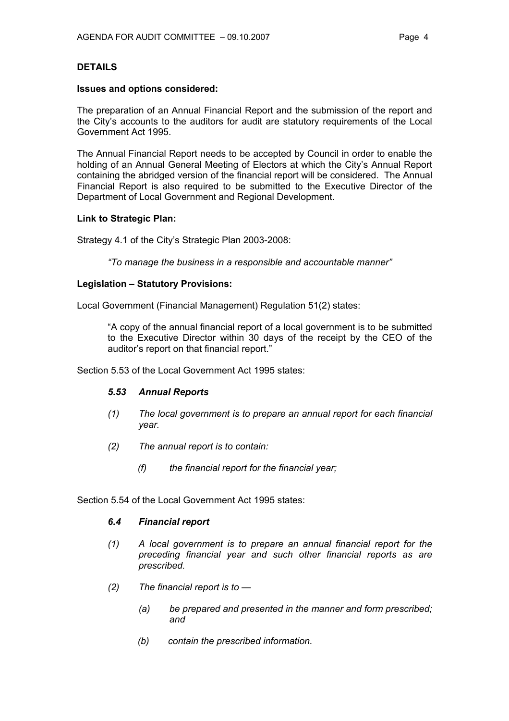#### **DETAILS**

#### **Issues and options considered:**

The preparation of an Annual Financial Report and the submission of the report and the City's accounts to the auditors for audit are statutory requirements of the Local Government Act 1995.

The Annual Financial Report needs to be accepted by Council in order to enable the holding of an Annual General Meeting of Electors at which the City's Annual Report containing the abridged version of the financial report will be considered. The Annual Financial Report is also required to be submitted to the Executive Director of the Department of Local Government and Regional Development.

#### **Link to Strategic Plan:**

Strategy 4.1 of the City's Strategic Plan 2003-2008:

*"To manage the business in a responsible and accountable manner"* 

#### **Legislation – Statutory Provisions:**

Local Government (Financial Management) Regulation 51(2) states:

"A copy of the annual financial report of a local government is to be submitted to the Executive Director within 30 days of the receipt by the CEO of the auditor's report on that financial report."

Section 5.53 of the Local Government Act 1995 states:

#### *5.53 Annual Reports*

- *(1) The local government is to prepare an annual report for each financial year.*
- *(2) The annual report is to contain:* 
	- *(f) the financial report for the financial year;*

Section 5.54 of the Local Government Act 1995 states:

#### *6.4 Financial report*

- *(1) A local government is to prepare an annual financial report for the preceding financial year and such other financial reports as are prescribed.*
- *(2) The financial report is to* 
	- *(a) be prepared and presented in the manner and form prescribed; and*
	- *(b) contain the prescribed information.*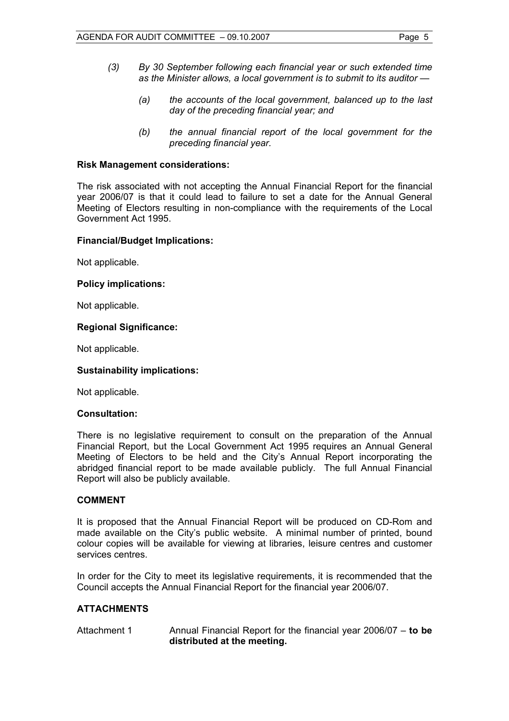- *(3) By 30 September following each financial year or such extended time as the Minister allows, a local government is to submit to its auditor —* 
	- *(a) the accounts of the local government, balanced up to the last day of the preceding financial year; and*
	- *(b) the annual financial report of the local government for the preceding financial year.*

#### **Risk Management considerations:**

The risk associated with not accepting the Annual Financial Report for the financial year 2006/07 is that it could lead to failure to set a date for the Annual General Meeting of Electors resulting in non-compliance with the requirements of the Local Government Act 1995.

#### **Financial/Budget Implications:**

Not applicable.

#### **Policy implications:**

Not applicable.

#### **Regional Significance:**

Not applicable.

#### **Sustainability implications:**

Not applicable.

### **Consultation:**

There is no legislative requirement to consult on the preparation of the Annual Financial Report, but the Local Government Act 1995 requires an Annual General Meeting of Electors to be held and the City's Annual Report incorporating the abridged financial report to be made available publicly. The full Annual Financial Report will also be publicly available.

#### **COMMENT**

It is proposed that the Annual Financial Report will be produced on CD-Rom and made available on the City's public website. A minimal number of printed, bound colour copies will be available for viewing at libraries, leisure centres and customer services centres.

In order for the City to meet its legislative requirements, it is recommended that the Council accepts the Annual Financial Report for the financial year 2006/07.

#### **ATTACHMENTS**

Attachment 1 Annual Financial Report for the financial year 2006/07 – **to be distributed at the meeting.**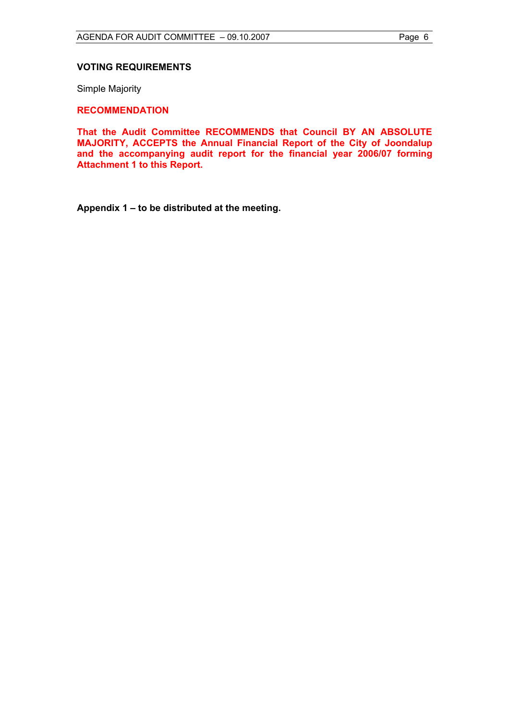#### **VOTING REQUIREMENTS**

Simple Majority

#### **RECOMMENDATION**

**That the Audit Committee RECOMMENDS that Council BY AN ABSOLUTE MAJORITY, ACCEPTS the Annual Financial Report of the City of Joondalup and the accompanying audit report for the financial year 2006/07 forming Attachment 1 to this Report.** 

**Appendix 1 – to be distributed at the meeting.**